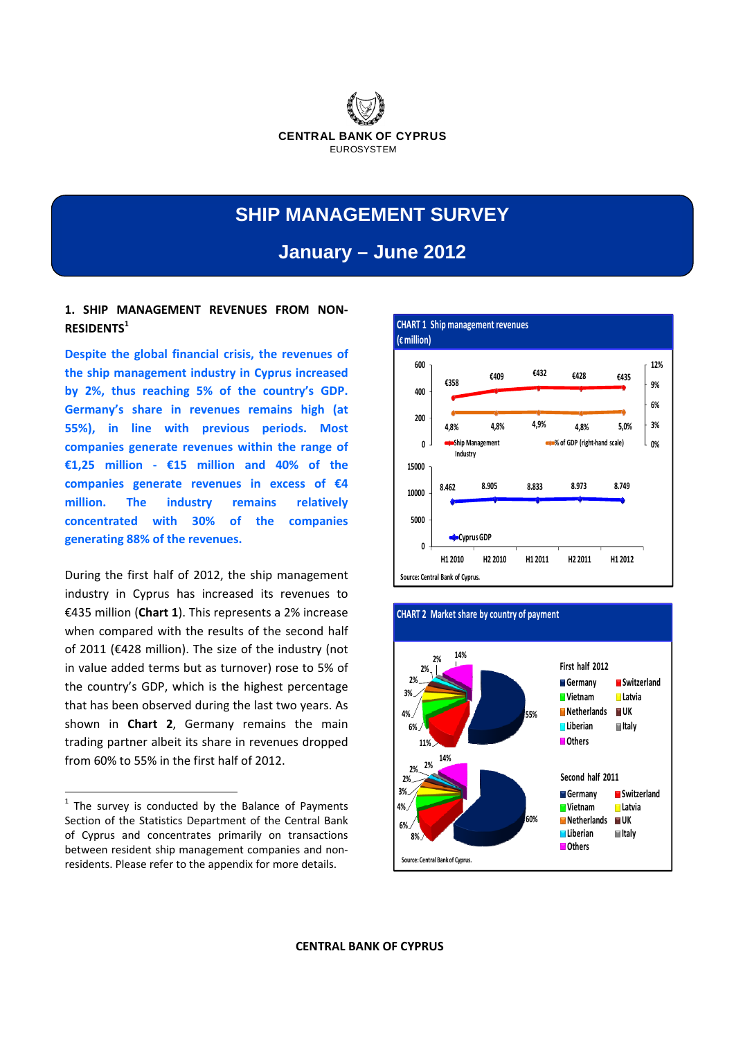

# **SHIP MANAGEMENT SURVEY**

# **January – June 2012**

# **1. SHIP MANAGEMENT REVENUES FROM NON‐ RESIDENTS1**

**Despite the global financial crisis, the revenues of the ship management industry in Cyprus increased by 2%, thus reaching 5% of the country's GDP. Germany's share in revenues remains high (at 55%), in line with previous periods. Most companies generate revenues within the range of €1,25 million ‐ €15 million and 40% of the companies generate revenues in excess of €4 million. The industry remains relatively concentrated with 30% of the companies generating 88% of the revenues.** 

During the first half of 2012, the ship management industry in Cyprus has increased its revenues to €435 million (**Chart 1**). This represents a 2% increase when compared with the results of the second half of 2011 (€428 million). The size of the industry (not in value added terms but as turnover) rose to 5% of the country's GDP, which is the highest percentage that has been observed during the last two years. As shown in **Chart 2**, Germany remains the main trading partner albeit its share in revenues dropped from 60% to 55% in the first half of 2012.





 $1$  The survey is conducted by the Balance of Payments Section of the Statistics Department of the Central Bank of Cyprus and concentrates primarily on transactions between resident ship management companies and non‐ residents. Please refer to the appendix for more details.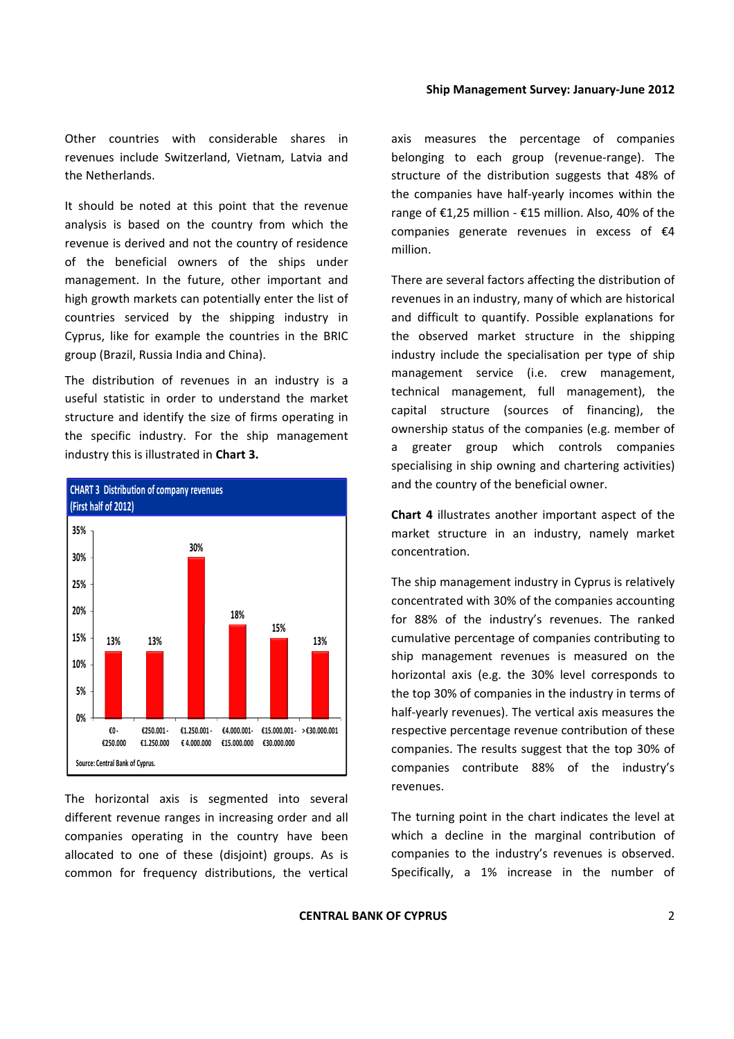Other countries with considerable shares in revenues include Switzerland, Vietnam, Latvia and the Netherlands.

It should be noted at this point that the revenue analysis is based on the country from which the revenue is derived and not the country of residence of the beneficial owners of the ships under management. In the future, other important and high growth markets can potentially enter the list of countries serviced by the shipping industry in Cyprus, like for example the countries in the BRIC group (Brazil, Russia India and China).

The distribution of revenues in an industry is a useful statistic in order to understand the market structure and identify the size of firms operating in the specific industry. For the ship management industry this is illustrated in **Chart 3.**



The horizontal axis is segmented into several different revenue ranges in increasing order and all companies operating in the country have been allocated to one of these (disjoint) groups. As is common for frequency distributions, the vertical axis measures the percentage of companies belonging to each group (revenue-range). The structure of the distribution suggests that 48% of the companies have half‐yearly incomes within the range of €1,25 million ‐ €15 million. Also, 40% of the companies generate revenues in excess of €4 million.

There are several factors affecting the distribution of revenues in an industry, many of which are historical and difficult to quantify. Possible explanations for the observed market structure in the shipping industry include the specialisation per type of ship management service (i.e. crew management, technical management, full management), the capital structure (sources of financing), the ownership status of the companies (e.g. member of a greater group which controls companies specialising in ship owning and chartering activities) and the country of the beneficial owner.

**Chart 4** illustrates another important aspect of the market structure in an industry, namely market concentration.

The ship management industry in Cyprus is relatively concentrated with 30% of the companies accounting for 88% of the industry's revenues. The ranked cumulative percentage of companies contributing to ship management revenues is measured on the horizontal axis (e.g. the 30% level corresponds to the top 30% of companies in the industry in terms of half‐yearly revenues). The vertical axis measures the respective percentage revenue contribution of these companies. The results suggest that the top 30% of companies contribute 88% of the industry's revenues.

The turning point in the chart indicates the level at which a decline in the marginal contribution of companies to the industry's revenues is observed. Specifically, a 1% increase in the number of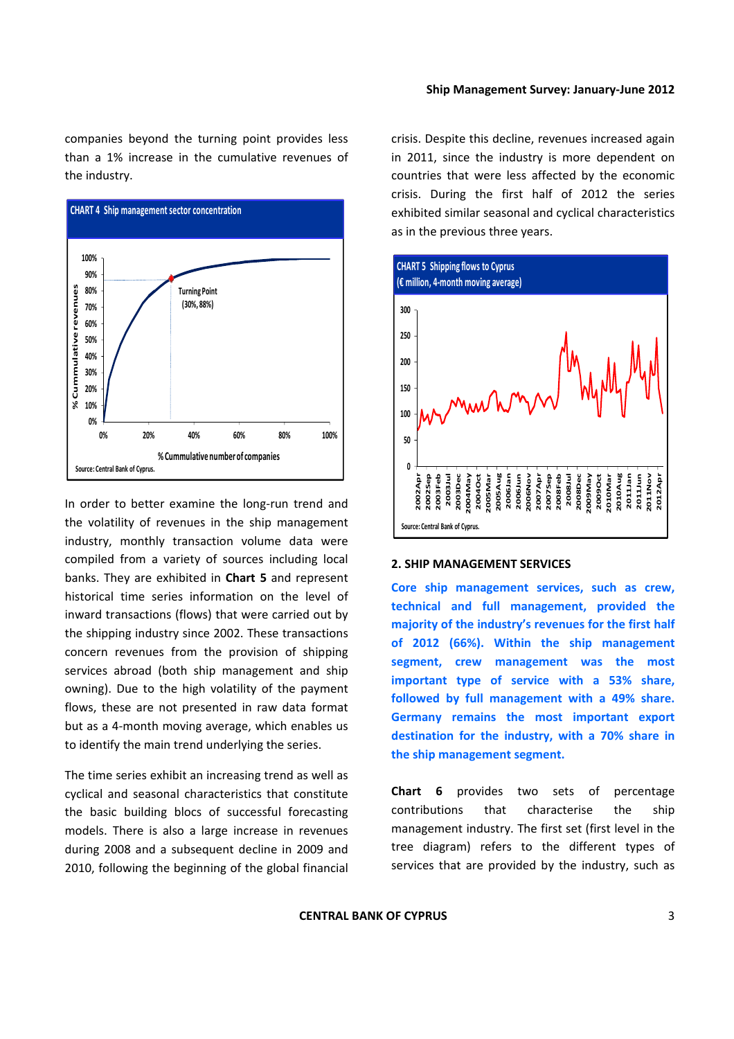companies beyond the turning point provides less than a 1% increase in the cumulative revenues of the industry.



In order to better examine the long‐run trend and the volatility of revenues in the ship management industry, monthly transaction volume data were compiled from a variety of sources including local banks. They are exhibited in **Chart 5** and represent historical time series information on the level of inward transactions (flows) that were carried out by the shipping industry since 2002. These transactions concern revenues from the provision of shipping services abroad (both ship management and ship owning). Due to the high volatility of the payment flows, these are not presented in raw data format but as a 4‐month moving average, which enables us to identify the main trend underlying the series.

The time series exhibit an increasing trend as well as cyclical and seasonal characteristics that constitute the basic building blocs of successful forecasting models. There is also a large increase in revenues during 2008 and a subsequent decline in 2009 and 2010, following the beginning of the global financial crisis. Despite this decline, revenues increased again in 2011, since the industry is more dependent on countries that were less affected by the economic crisis. During the first half of 2012 the series exhibited similar seasonal and cyclical characteristics as in the previous three years.



### **2. SHIP MANAGEMENT SERVICES**

**Core ship management services, such as crew, technical and full management, provided the majority of the industry's revenues for the first half of 2012 (66%). Within the ship management segment, crew management was the most important type of service with a 53% share, followed by full management with a 49% share. Germany remains the most important export destination for the industry, with a 70% share in the ship management segment.**

**Chart 6** provides two sets of percentage contributions that characterise the ship management industry. The first set (first level in the tree diagram) refers to the different types of services that are provided by the industry, such as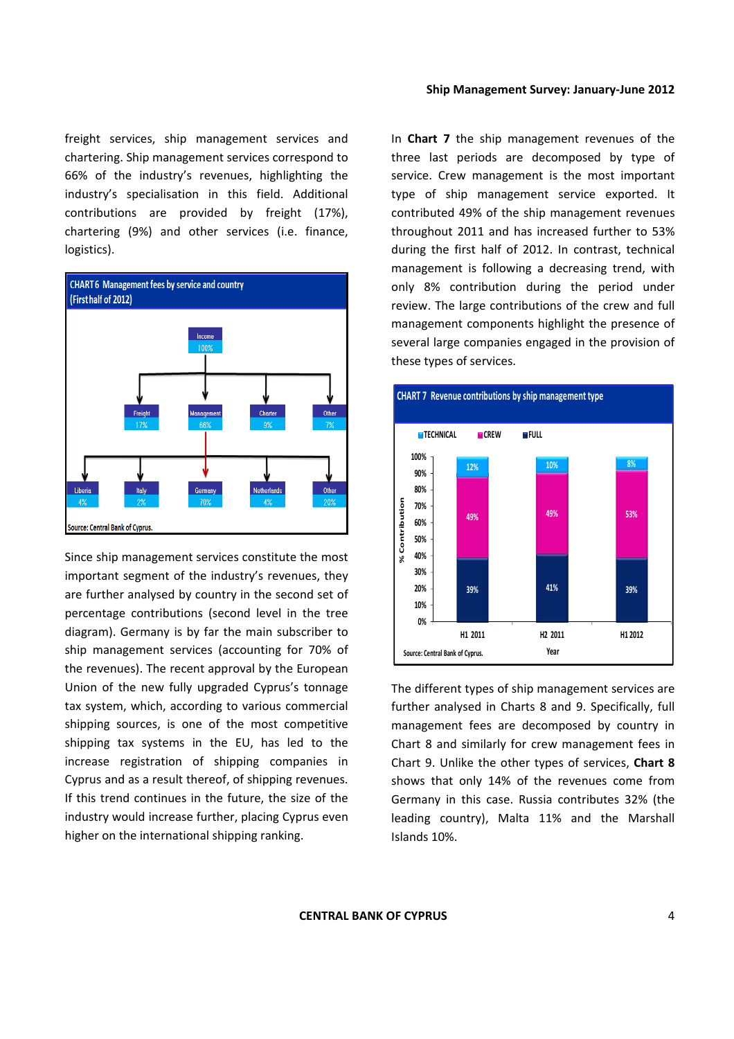freight services, ship management services and chartering. Ship management services correspond to 66% of the industry's revenues, highlighting the industry's specialisation in this field. Additional contributions are provided by freight (17%), chartering (9%) and other services (i.e. finance, logistics).



Since ship management services constitute the most important segment of the industry's revenues, they are further analysed by country in the second set of percentage contributions (second level in the tree diagram). Germany is by far the main subscriber to ship management services (accounting for 70% of the revenues). The recent approval by the European Union of the new fully upgraded Cyprus's tonnage tax system, which, according to various commercial shipping sources, is one of the most competitive shipping tax systems in the EU, has led to the increase registration of shipping companies in Cyprus and as a result thereof, of shipping revenues. If this trend continues in the future, the size of the industry would increase further, placing Cyprus even higher on the international shipping ranking.

#### **Ship Management Survey: January‐June 2012**

In **Chart 7** the ship management revenues of the three last periods are decomposed by type of service. Crew management is the most important type of ship management service exported. It contributed 49% of the ship management revenues throughout 2011 and has increased further to 53% during the first half of 2012. In contrast, technical management is following a decreasing trend, with only 8% contribution during the period under review. The large contributions of the crew and full management components highlight the presence of several large companies engaged in the provision of these types of services.



The different types of ship management services are further analysed in Charts 8 and 9. Specifically, full management fees are decomposed by country in Chart 8 and similarly for crew management fees in Chart 9. Unlike the other types of services, **Chart 8** shows that only 14% of the revenues come from Germany in this case. Russia contributes 32% (the leading country), Malta 11% and the Marshall Islands 10%.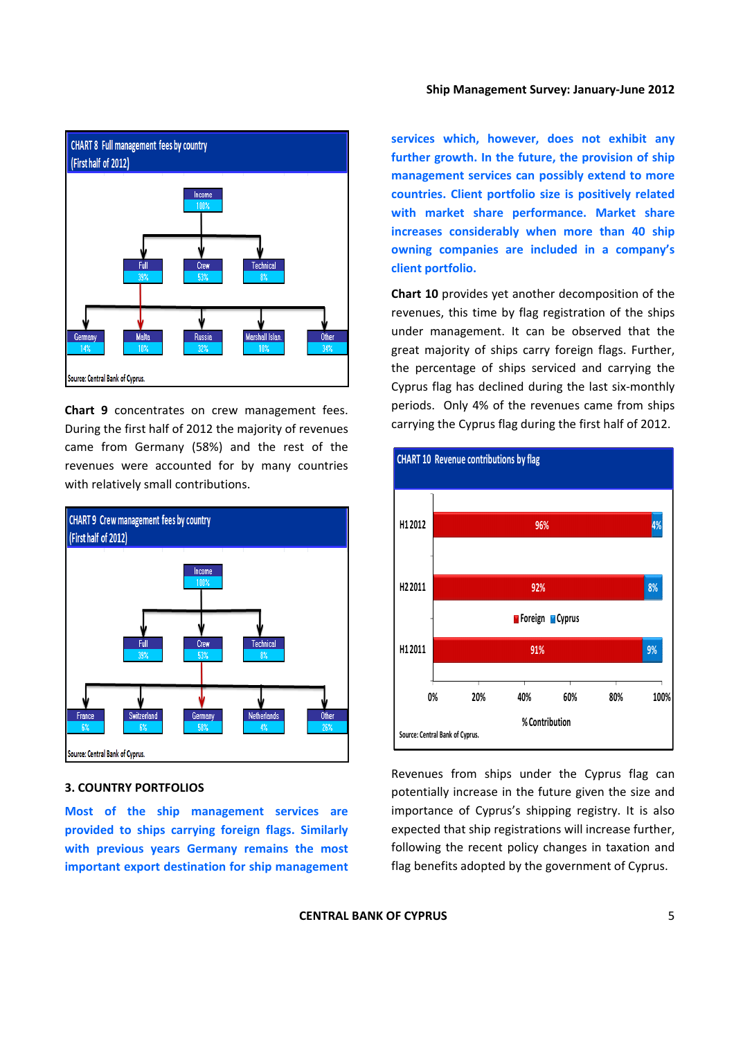



**Chart 9** concentrates on crew management fees. During the first half of 2012 the majority of revenues came from Germany (58%) and the rest of the revenues were accounted for by many countries with relatively small contributions.



## **3. COUNTRY PORTFOLIOS**

**Most of the ship management services are provided to ships carrying foreign flags. Similarly with previous years Germany remains the most important export destination for ship management** **services which, however, does not exhibit any further growth. In the future, the provision of ship management services can possibly extend to more countries. Client portfolio size is positively related with market share performance. Market share increases considerably when more than 40 ship owning companies are included in a company's client portfolio.**

**Chart 10** provides yet another decomposition of the revenues, this time by flag registration of the ships under management. It can be observed that the great majority of ships carry foreign flags. Further, the percentage of ships serviced and carrying the Cyprus flag has declined during the last six‐monthly periods. Only 4% of the revenues came from ships carrying the Cyprus flag during the first half of 2012.



Revenues from ships under the Cyprus flag can potentially increase in the future given the size and importance of Cyprus's shipping registry. It is also expected that ship registrations will increase further, following the recent policy changes in taxation and flag benefits adopted by the government of Cyprus.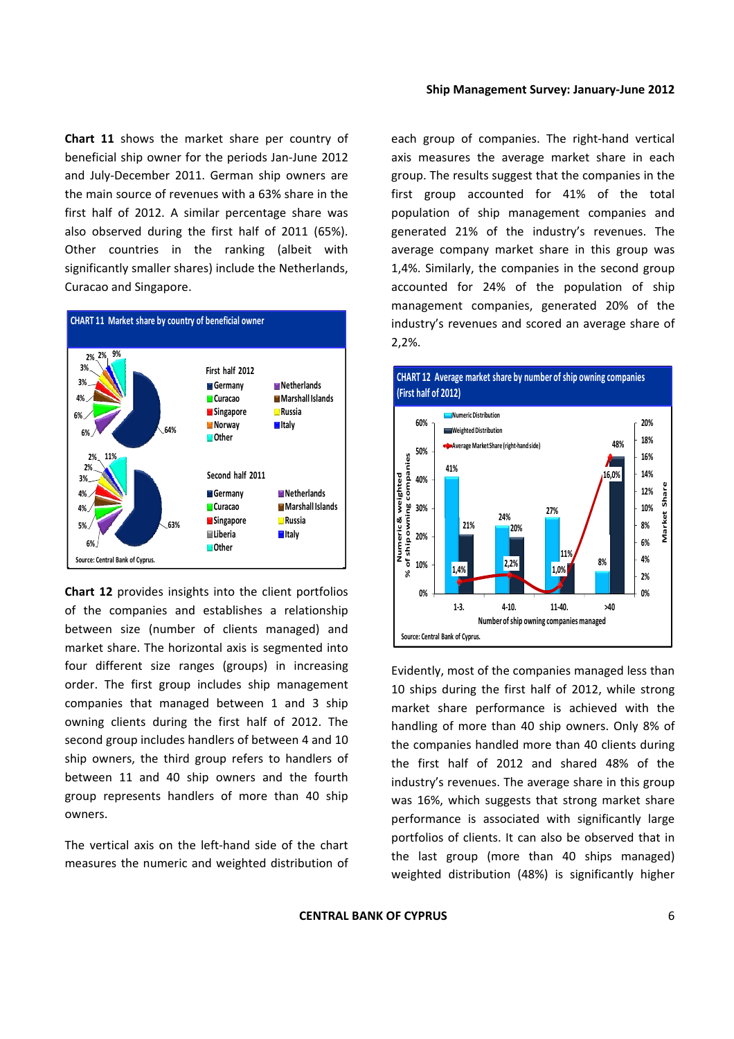# **Chart 11** shows the market share per country of beneficial ship owner for the periods Jan‐June 2012 and July‐December 2011. German ship owners are the main source of revenues with a 63% share in the first half of 2012. A similar percentage share was also observed during the first half of 2011 (65%). Other countries in the ranking (albeit with significantly smaller shares) include the Netherlands,



Curacao and Singapore.

**Chart 12** provides insights into the client portfolios of the companies and establishes a relationship between size (number of clients managed) and market share. The horizontal axis is segmented into four different size ranges (groups) in increasing order. The first group includes ship management companies that managed between 1 and 3 ship owning clients during the first half of 2012. The second group includes handlers of between 4 and 10 ship owners, the third group refers to handlers of between 11 and 40 ship owners and the fourth group represents handlers of more than 40 ship owners.

The vertical axis on the left‐hand side of the chart measures the numeric and weighted distribution of

#### **Ship Management Survey: January‐June 2012**

each group of companies. The right‐hand vertical axis measures the average market share in each group. The results suggest that the companies in the first group accounted for 41% of the total population of ship management companies and generated 21% of the industry's revenues. The average company market share in this group was 1,4%. Similarly, the companies in the second group accounted for 24% of the population of ship management companies, generated 20% of the industry's revenues and scored an average share of 2,2%.



## **CHART 12 Average market share by number of ship owning companies (First half of 2012)**

Evidently, most of the companies managed less than 10 ships during the first half of 2012, while strong market share performance is achieved with the handling of more than 40 ship owners. Only 8% of the companies handled more than 40 clients during the first half of 2012 and shared 48% of the industry's revenues. The average share in this group was 16%, which suggests that strong market share performance is associated with significantly large portfolios of clients. It can also be observed that in the last group (more than 40 ships managed) weighted distribution (48%) is significantly higher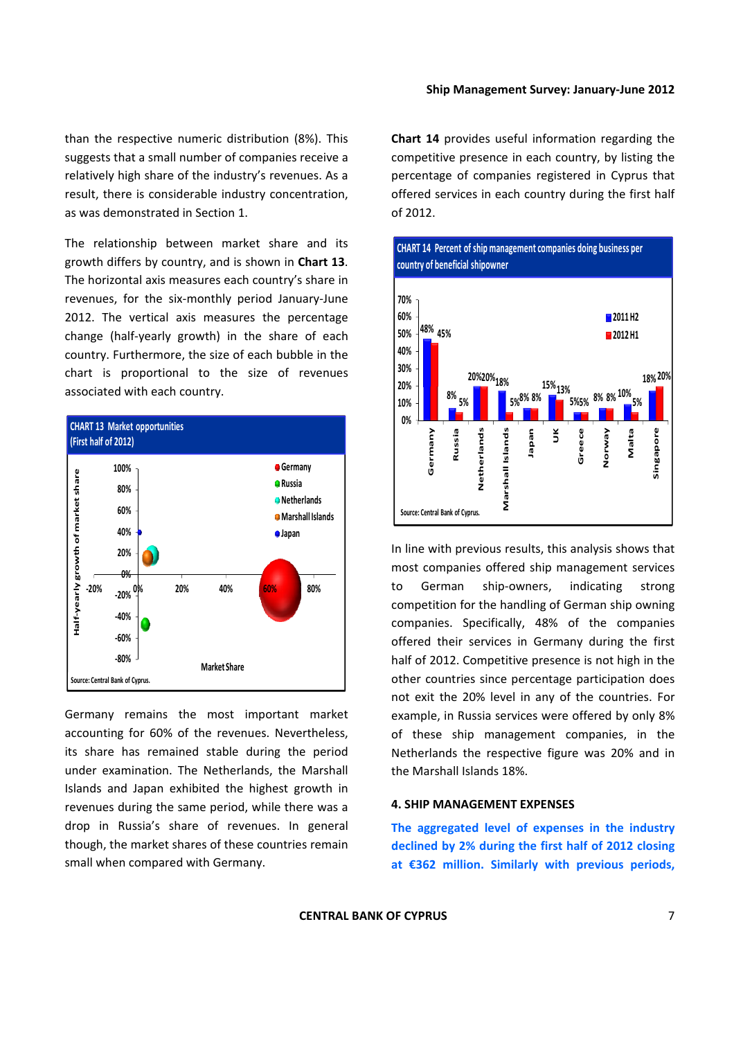than the respective numeric distribution (8%). This suggests that a small number of companies receive a relatively high share of the industry's revenues. As a result, there is considerable industry concentration, as was demonstrated in Section 1.

The relationship between market share and its growth differs by country, and is shown in **Chart 13**. The horizontal axis measures each country's share in revenues, for the six‐monthly period January‐June 2012. The vertical axis measures the percentage change (half‐yearly growth) in the share of each country. Furthermore, the size of each bubble in the chart is proportional to the size of revenues associated with each country.



Germany remains the most important market accounting for 60% of the revenues. Nevertheless, its share has remained stable during the period under examination. The Netherlands, the Marshall Islands and Japan exhibited the highest growth in revenues during the same period, while there was a drop in Russia's share of revenues. In general though, the market shares of these countries remain small when compared with Germany.

**Chart 14** provides useful information regarding the competitive presence in each country, by listing the percentage of companies registered in Cyprus that offered services in each country during the first half of 2012.



In line with previous results, this analysis shows that most companies offered ship management services to German ship‐owners, indicating strong competition for the handling of German ship owning companies. Specifically, 48% of the companies offered their services in Germany during the first half of 2012. Competitive presence is not high in the other countries since percentage participation does not exit the 20% level in any of the countries. For example, in Russia services were offered by only 8% of these ship management companies, in the Netherlands the respective figure was 20% and in the Marshall Islands 18%.

## **4. SHIP MANAGEMENT EXPENSES**

**The aggregated level of expenses in the industry declined by 2% during the first half of 2012 closing at €362 million. Similarly with previous periods,**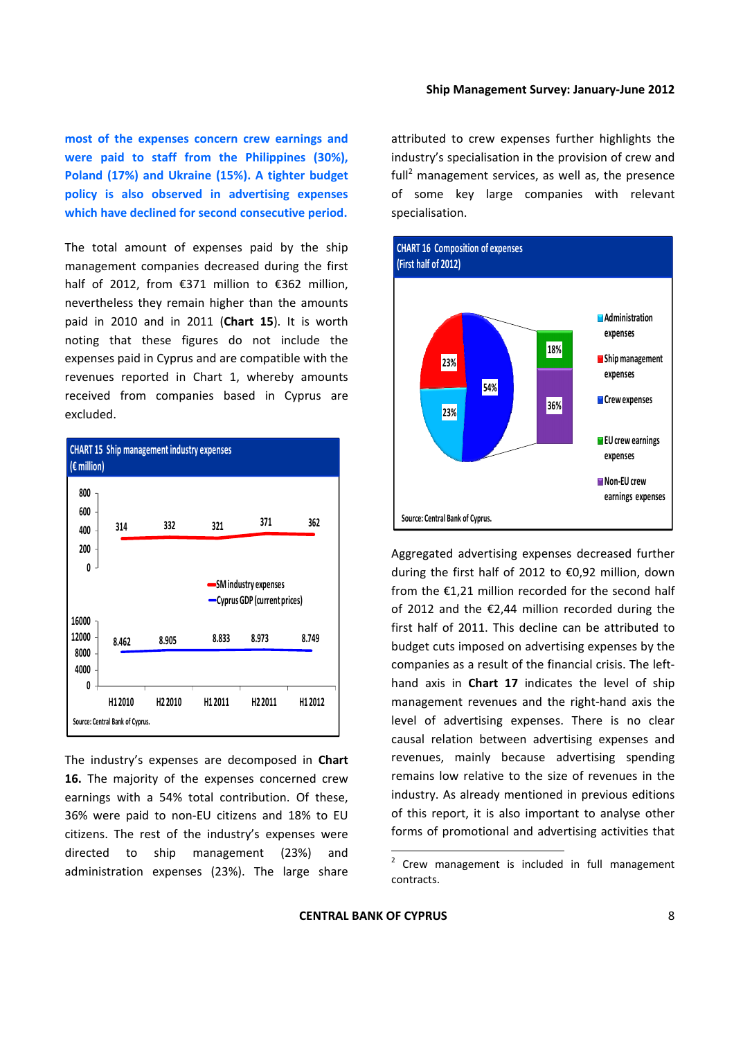**most of the expenses concern crew earnings and were paid to staff from the Philippines (30%), Poland (17%) and Ukraine (15%). A tighter budget policy is also observed in advertising expenses which have declined for second consecutive period.** 

The total amount of expenses paid by the ship management companies decreased during the first half of 2012, from €371 million to €362 million, nevertheless they remain higher than the amounts paid in 2010 and in 2011 (**Chart 15**). It is worth noting that these figures do not include the expenses paid in Cyprus and are compatible with the revenues reported in Chart 1, whereby amounts received from companies based in Cyprus are excluded.



The industry's expenses are decomposed in **Chart 16.** The majority of the expenses concerned crew earnings with a 54% total contribution. Of these, 36% were paid to non‐EU citizens and 18% to EU citizens. The rest of the industry's expenses were directed to ship management (23%) and administration expenses (23%). The large share attributed to crew expenses further highlights the industry's specialisation in the provision of crew and full<sup>2</sup> management services, as well as, the presence of some key large companies with relevant specialisation.



Aggregated advertising expenses decreased further during the first half of 2012 to €0,92 million, down from the €1,21 million recorded for the second half of 2012 and the €2,44 million recorded during the first half of 2011. This decline can be attributed to budget cuts imposed on advertising expenses by the companies as a result of the financial crisis. The left‐ hand axis in **Chart 17** indicates the level of ship management revenues and the right‐hand axis the level of advertising expenses. There is no clear causal relation between advertising expenses and revenues, mainly because advertising spending remains low relative to the size of revenues in the industry. As already mentioned in previous editions of this report, it is also important to analyse other forms of promotional and advertising activities that

 $2$  Crew management is included in full management contracts.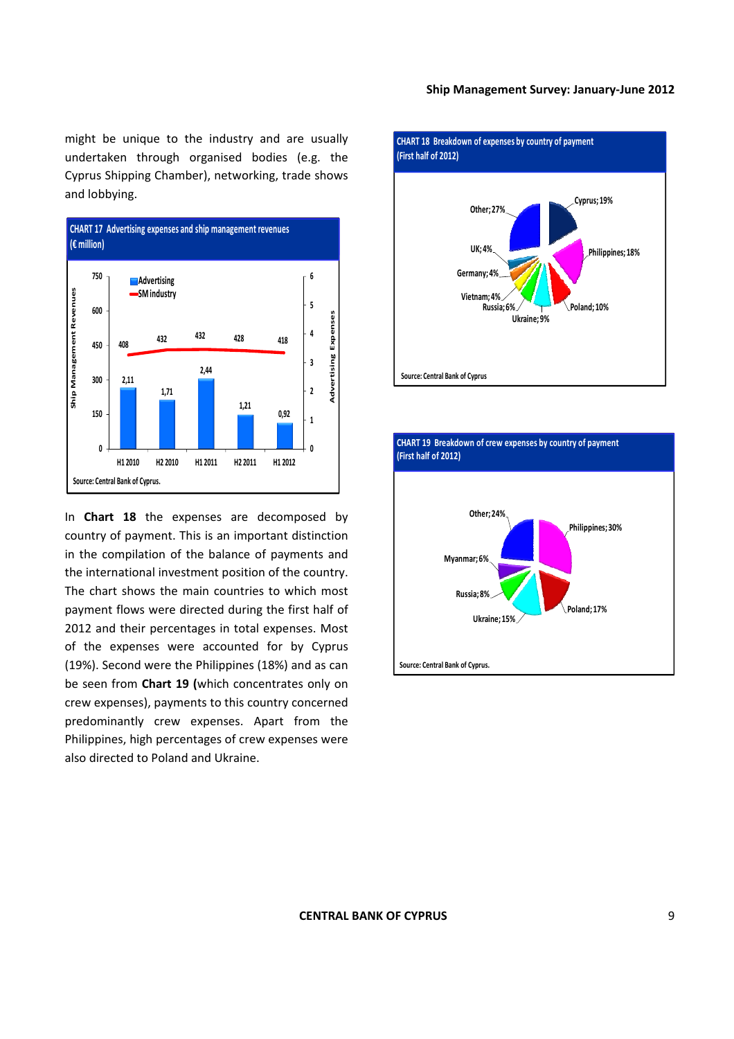might be unique to the industry and are usually undertaken through organised bodies (e.g. the Cyprus Shipping Chamber), networking, trade shows and lobbying.



In **Chart 18** the expenses are decomposed by country of payment. This is an important distinction in the compilation of the balance of payments and the international investment position of the country. The chart shows the main countries to which most payment flows were directed during the first half of 2012 and their percentages in total expenses. Most of the expenses were accounted for by Cyprus (19%). Second were the Philippines (18%) and as can be seen from **Chart 19 (**which concentrates only on crew expenses), payments to this country concerned predominantly crew expenses. Apart from the Philippines, high percentages of crew expenses were also directed to Poland and Ukraine.